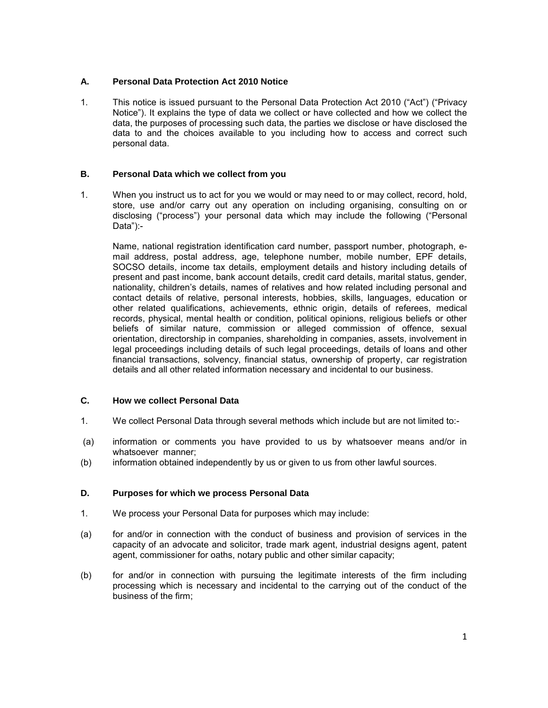# **A. Personal Data Protection Act 2010 Notice**

1. This notice is issued pursuant to the Personal Data Protection Act 2010 ("Act") ("Privacy Notice"). It explains the type of data we collect or have collected and how we collect the data, the purposes of processing such data, the parties we disclose or have disclosed the data to and the choices available to you including how to access and correct such personal data.

# **B. Personal Data which we collect from you**

1. When you instruct us to act for you we would or may need to or may collect, record, hold, store, use and/or carry out any operation on including organising, consulting on or disclosing ("process") your personal data which may include the following ("Personal Data"):-

Name, national registration identification card number, passport number, photograph, email address, postal address, age, telephone number, mobile number, EPF details, SOCSO details, income tax details, employment details and history including details of present and past income, bank account details, credit card details, marital status, gender, nationality, children's details, names of relatives and how related including personal and contact details of relative, personal interests, hobbies, skills, languages, education or other related qualifications, achievements, ethnic origin, details of referees, medical records, physical, mental health or condition, political opinions, religious beliefs or other beliefs of similar nature, commission or alleged commission of offence, sexual orientation, directorship in companies, shareholding in companies, assets, involvement in legal proceedings including details of such legal proceedings, details of loans and other financial transactions, solvency, financial status, ownership of property, car registration details and all other related information necessary and incidental to our business.

# **C. How we collect Personal Data**

- 1. We collect Personal Data through several methods which include but are not limited to:-
- (a) information or comments you have provided to us by whatsoever means and/or in whatsoever manner;
- (b) information obtained independently by us or given to us from other lawful sources.

# **D. Purposes for which we process Personal Data**

- 1. We process your Personal Data for purposes which may include:
- (a) for and/or in connection with the conduct of business and provision of services in the capacity of an advocate and solicitor, trade mark agent, industrial designs agent, patent agent, commissioner for oaths, notary public and other similar capacity;
- (b) for and/or in connection with pursuing the legitimate interests of the firm including processing which is necessary and incidental to the carrying out of the conduct of the business of the firm;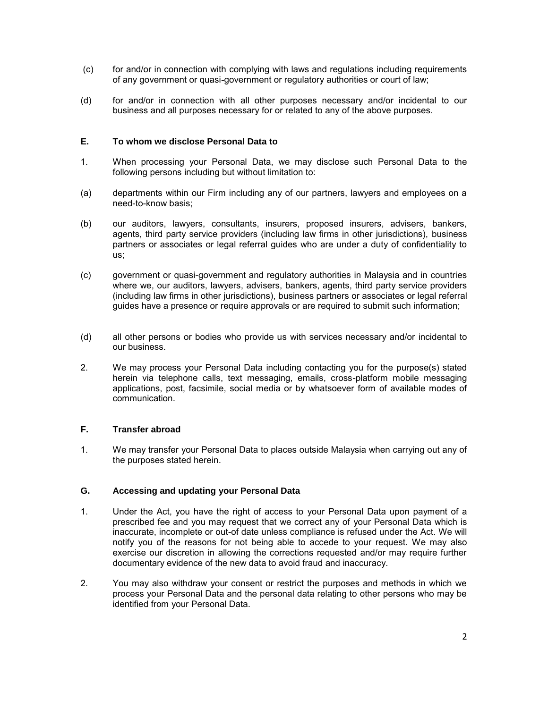- (c) for and/or in connection with complying with laws and regulations including requirements of any government or quasi-government or regulatory authorities or court of law;
- (d) for and/or in connection with all other purposes necessary and/or incidental to our business and all purposes necessary for or related to any of the above purposes.

#### **E. To whom we disclose Personal Data to**

- 1. When processing your Personal Data, we may disclose such Personal Data to the following persons including but without limitation to:
- (a) departments within our Firm including any of our partners, lawyers and employees on a need-to-know basis;
- (b) our auditors, lawyers, consultants, insurers, proposed insurers, advisers, bankers, agents, third party service providers (including law firms in other jurisdictions), business partners or associates or legal referral guides who are under a duty of confidentiality to us;
- (c) government or quasi-government and regulatory authorities in Malaysia and in countries where we, our auditors, lawyers, advisers, bankers, agents, third party service providers (including law firms in other jurisdictions), business partners or associates or legal referral guides have a presence or require approvals or are required to submit such information;
- (d) all other persons or bodies who provide us with services necessary and/or incidental to our business.
- 2. We may process your Personal Data including contacting you for the purpose(s) stated herein via telephone calls, text messaging, emails, cross-platform mobile messaging applications, post, facsimile, social media or by whatsoever form of available modes of communication.

# **F. Transfer abroad**

1. We may transfer your Personal Data to places outside Malaysia when carrying out any of the purposes stated herein.

# **G. Accessing and updating your Personal Data**

- 1. Under the Act, you have the right of access to your Personal Data upon payment of a prescribed fee and you may request that we correct any of your Personal Data which is inaccurate, incomplete or out-of date unless compliance is refused under the Act. We will notify you of the reasons for not being able to accede to your request. We may also exercise our discretion in allowing the corrections requested and/or may require further documentary evidence of the new data to avoid fraud and inaccuracy.
- 2. You may also withdraw your consent or restrict the purposes and methods in which we process your Personal Data and the personal data relating to other persons who may be identified from your Personal Data.